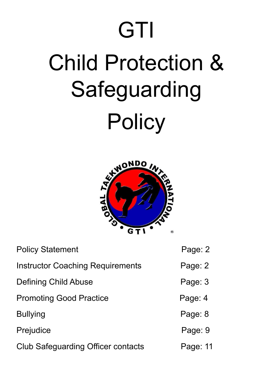# **GTI** Child Protection & Safeguarding **Policy**



| <b>Policy Statement</b>                   | Page: 2  |
|-------------------------------------------|----------|
| <b>Instructor Coaching Requirements</b>   | Page: 2  |
| Defining Child Abuse                      | Page: 3  |
| <b>Promoting Good Practice</b>            | Page: 4  |
| <b>Bullying</b>                           | Page: 8  |
| Prejudice                                 | Page: 9  |
| <b>Club Safeguarding Officer contacts</b> | Page: 11 |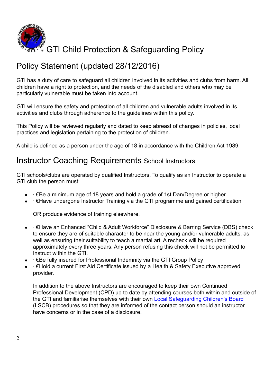

# Policy Statement (updated 28/12/2016)

GTI has a duty of care to safeguard all children involved in its activities and clubs from harm. All children have a right to protection, and the needs of the disabled and others who may be particularly vulnerable must be taken into account.

GTI will ensure the safety and protection of all children and vulnerable adults involved in its activities and clubs through adherence to the guidelines within this policy.

This Policy will be reviewed regularly and dated to keep abreast of changes in policies, local practices and legislation pertaining to the protection of children.

A child is defined as a person under the age of 18 in accordance with the Children Act 1989.

## Instructor Coaching Requirements School Instructors

GTI schools/clubs are operated by qualified Instructors. To qualify as an Instructor to operate a GTI club the person must:

- ∙ €Be a minimum age of 18 years and hold a grade of 1st Dan/Degree or higher.
- ∙ €Have undergone Instructor Training via the GTI programme and gained certification

OR produce evidence of training elsewhere.

- ∙ €Have an Enhanced "Child & Adult Workforce" Disclosure & Barring Service (DBS) check to ensure they are of suitable character to be near the young and/or vulnerable adults, as well as ensuring their suitability to teach a martial art. A recheck will be required approximately every three years. Any person refusing this check will not be permitted to Instruct within the GTI.
- ∙ €Be fully insured for Professional Indemnity via the GTI Group Policy
- ∙ €Hold a current First Aid Certificate issued by a Health & Safety Executive approved provider.

In addition to the above Instructors are encouraged to keep their own Continued Professional Development (CPD) up to date by attending courses both within and outside of the GTI and familiarise themselves with their own Local Safeguarding Children's Board (LSCB) procedures so that they are informed of the contact person should an instructor have concerns or in the case of a disclosure.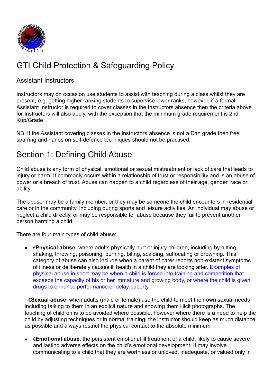

# GTI Child Protection & Safeguarding Policy

### Assistant Instructors

Instructors may on occasion use students to assist with teaching during a class whilst they are present, e.g. getting higher ranking students to supervise lower ranks, however, if a formal Assistant Instructor is required to cover classes in the Instructors absence then the criteria above for Instructors will also apply, with the exception that the minimum grade requirement is 2nd Kup/Grade

NB. If the Assistant covering classes in the Instructors absence is not a Dan grade then free sparring and hands on self-defence techniques should not be practised.

## Section 1: Defining Child Abuse

Child abuse is any form of physical, emotional or sexual mistreatment or lack of care that leads to injury or harm. It commonly occurs within a relationship of trust or responsibility and is an abuse of power or a breach of trust. Abuse can happen to a child regardless of their age, gender, race or ability.

The abuser may be a family member, or they may be someone the child encounters in residential care or in the community, including during sports and leisure activities. An individual may abuse or neglect a child directly, or may be responsible for abuse because they fail to prevent another person harming a child.

There are four main types of child abuse:

● €**Physical abuse**: where adults physically hurt or injury children, including by hitting, shaking, throwing, poisoning, burning, biting, scalding, suffocating or drowning. This category of abuse can also include when a parent of carer reports non-existent symptoms of illness or deliberately causes ill health in a child they are looking after. Examples of physical abuse in sport may be when a child is forced into training and competition that exceeds the capacity of his or her immature and growing body, or where the child is given drugs to enhance performance or delay puberty.

∙ €**Sexual abuse**: when adults (male or female) use the child to meet their own sexual needs including talking to them in an explicit nature and showing them illicit photographs. The touching of children is to be avoided where possible, however where there is a need to help the child by adjusting techniques or in normal training, the instructor should keep as much distance as possible and always restrict the physical contact to the absolute minimum

● €**Emotional abuse**: the persistent emotional ill treatment of a child, likely to cause severe and lasting adverse effects on the child's emotional development. It may involve communicating to a child that they are worthless or unloved, inadequate, or valued only in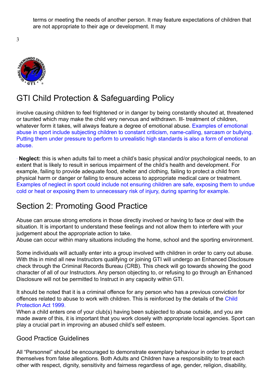terms or meeting the needs of another person. It may feature expectations of children that are not appropriate to their age or development. It may

3



# GTI Child Protection & Safeguarding Policy

involve causing children to feel frightened or in danger by being constantly shouted at, threatened or taunted which may make the child very nervous and withdrawn. Ill- treatment of children, whatever form it takes, will always feature a degree of emotional abuse. Examples of emotional abuse in sport include subjecting children to constant criticism, name-calling, sarcasm or bullying. Putting them under pressure to perform to unrealistic high standards is also a form of emotional abuse.

∙ **Neglect:** this is when adults fail to meet a child's basic physical and/or psychological needs, to an extent that is likely to result in serious impairment of the child's health and development. For example, failing to provide adequate food, shelter and clothing, failing to protect a child from physical harm or danger or failing to ensure access to appropriate medical care or treatment. Examples of neglect in sport could include not ensuring children are safe, exposing them to undue cold or heat or exposing them to unnecessary risk of injury, during sparring for example.

# Section 2: Promoting Good Practice

Abuse can arouse strong emotions in those directly involved or having to face or deal with the situation. It is important to understand these feelings and not allow them to interfere with your judgement about the appropriate action to take.

Abuse can occur within many situations including the home, school and the sporting environment.

Some individuals will actually enter into a group involved with children in order to carry out abuse. With this in mind all new Instructors qualifying or joining GTI will undergo an Enhanced Disclosure check through the Criminal Records Bureau (CRB). This check will go towards showing the good character of all of our Instructors. Any person objecting to, or refusing to go through an Enhanced Disclosure will not be permitted to Instruct in any capacity within GTI.

It should be noted that it is a criminal offence for any person who has a previous conviction for offences related to abuse to work with children. This is reinforced by the details of the Child Protection Act 1999.

When a child enters one of your club(s) having been subjected to abuse outside, and you are made aware of this, it is important that you work closely with appropriate local agencies. Sport can play a crucial part in improving an abused child's self esteem.

#### Good Practice Guidelines

All "Personnel" should be encouraged to demonstrate exemplary behaviour in order to protect themselves from false allegations. Both Adults and Children have a responsibility to treat each other with respect, dignity, sensitivity and fairness regardless of age, gender, religion, disability,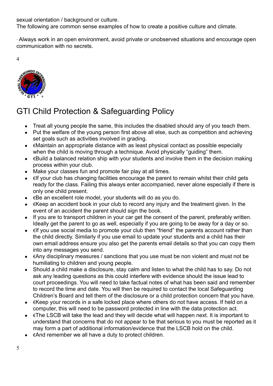sexual orientation / background or culture.

The following are common sense examples of how to create a positive culture and climate.

∙ Always work in an open environment, avoid private or unobserved situations and encourage open communication with no secrets.

4



# GTI Child Protection & Safeguarding Policy

- Treat all young people the same, this includes the disabled should any of you teach them.
- Put the welfare of the young person first above all else, such as competition and achieving set goals such as activities involved in grading.
- $\bullet$   $\in$  Maintain an appropriate distance with as least physical contact as possible especially when the child is moving through a technique. Avoid physically "guiding" them.
- $\bullet$   $\epsilon$ Build a balanced relation ship with your students and involve them in the decision making process within your club.
- Make your classes fun and promote fair play at all times.
- €If your club has changing facilities encourage the parent to remain whilst their child gets ready for the class. Failing this always enter accompanied, never alone especially if there is only one child present.
- €Be an excellent role model, your students will do as you do.
- €Keep an accident book in your club to record any injury and the treatment given. In the event of an accident the parent should sign the book.
- If you are to transport children in your car get the consent of the parent, preferably written. Ideally get the parent to go as well, especially if you are going to be away for a day or so.
- €If you use social media to promote your club then "friend" the parents account rather than the child directly. Similarly if you use email to update your students and a child has their own email address ensure you also get the parents email details so that you can copy them into any messages you send.
- €Any disciplinary measures / sanctions that you use must be non violent and must not be humiliating to children and young people.
- Should a child make a disclosure, stay calm and listen to what the child has to say. Do not ask any leading questions as this could interfere with evidence should the issue lead to court proceedings. You will need to take factual notes of what has been said and remember to record the time and date. You will then be required to contact the local Safeguarding Children's Board and tell them of the disclosure or a child protection concern that you have.
- €Keep your records in a safe locked place where others do not have access. If held on a computer, this will need to be password protected in line with the data protection act.
- $\bullet$   $\in$  The LSCB will take the lead and they will decide what will happen next. It is important to understand that concerns that do not appear to be that serious to you must be reported as it may form a part of additional information/evidence that the LSCB hold on the child.
- €And remember we all have a duty to protect children.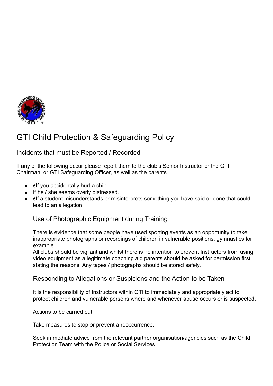

# GTI Child Protection & Safeguarding Policy

#### Incidents that must be Reported / Recorded

If any of the following occur please report them to the club's Senior Instructor or the GTI Chairman, or GTI Safeguarding Officer, as well as the parents

- $\bullet$   $\in$  If you accidentally hurt a child.
- If he / she seems overly distressed.
- $\in$  f a student misunderstands or misinterprets something you have said or done that could lead to an allegation.

#### Use of Photographic Equipment during Training

There is evidence that some people have used sporting events as an opportunity to take inappropriate photographs or recordings of children in vulnerable positions, gymnastics for example.

All clubs should be vigilant and whilst there is no intention to prevent Instructors from using video equipment as a legitimate coaching aid parents should be asked for permission first stating the reasons. Any tapes / photographs should be stored safely.

Responding to Allegations or Suspicions and the Action to be Taken

It is the responsibility of Instructors within GTI to immediately and appropriately act to protect children and vulnerable persons where and whenever abuse occurs or is suspected.

Actions to be carried out:

Take measures to stop or prevent a reoccurrence.

Seek immediate advice from the relevant partner organisation/agencies such as the Child Protection Team with the Police or Social Services.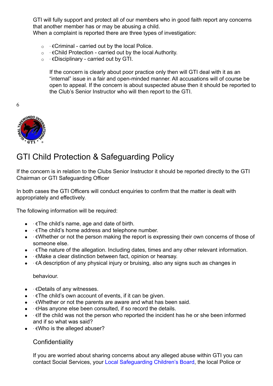GTI will fully support and protect all of our members who in good faith report any concerns that another member has or may be abusing a child.

When a complaint is reported there are three types of investigation:

- o ∙ €Criminal carried out by the local Police.
- o ∙ €Child Protection carried out by the local Authority.
- o ∙ €Disciplinary carried out by GTI.

If the concern is clearly about poor practice only then will GTI deal with it as an "internal" issue in a fair and open-minded manner. All accusations will of course be open to appeal. If the concern is about suspected abuse then it should be reported to the Club's Senior Instructor who will then report to the GTI.

6



## GTI Child Protection & Safeguarding Policy

If the concern is in relation to the Clubs Senior Instructor it should be reported directly to the GTI Chairman or GTI Safeguarding Officer

In both cases the GTI Officers will conduct enquiries to confirm that the matter is dealt with appropriately and effectively.

The following information will be required:

- ∙ €The child's name, age and date of birth.
- ∙ €The child's home address and telephone number.
- ∙ €Whether or not the person making the report is expressing their own concerns of those of someone else.
- ∙ €The nature of the allegation. Including dates, times and any other relevant information.
- ∙ €Make a clear distinction between fact, opinion or hearsay.
- ∙ €A description of any physical injury or bruising, also any signs such as changes in

behaviour.

- ∙ €Details of any witnesses.
- ∙ €The child's own account of events, if it can be given.
- ∙ €Whether or not the parents are aware and what has been said.
- ∙ €Has anyone else been consulted, if so record the details.
- ∙ €If the child was not the person who reported the incident has he or she been informed and if so what was said?
- ∙ €Who is the alleged abuser?

#### **Confidentiality**

If you are worried about sharing concerns about any alleged abuse within GTI you can contact Social Services, your Local Safeguarding Children's Board, the local Police or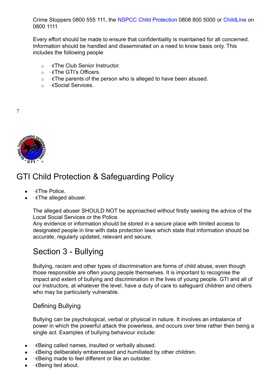Crime Stoppers 0800 555 111, the NSPCC Child Protection 0808 800 5000 or ChildLine on 0800 1111

Every effort should be made to ensure that confidentiality is maintained for all concerned. Information should be handled and disseminated on a need to know basis only. This includes the following people

- o ∙ €The Club Senior Instructor.
- o ∙ €The GTI's Officers.
- o ∙ €The parents of the person who is alleged to have been abused.
- o ∙ €Social Services.

7



## GTI Child Protection & Safeguarding Policy

- ∙ €The Police.
- • €The alleged abuser.

The alleged abuser SHOULD NOT be approached without firstly seeking the advice of the Local Social Services or the Police.

Any evidence or information should be stored in a secure place with limited access to designated people in line with data protection laws which state that information should be accurate, regularly updated, relevant and secure.

## Section 3 - Bullying

Bullying, racism and other types of discrimination are forms of child abuse, even though those responsible are often young people themselves. It is important to recognise the impact and extent of bullying and discrimination in the lives of young people. GTI and all of our Instructors, at whatever the level, have a duty of care to safeguard children and others who may be particularly vulnerable.

#### Defining Bullying

Bullying can be psychological, verbal or physical in nature. It involves an imbalance of power in which the powerful attack the powerless, and occurs over time rather then being a single act. Examples of bullying behaviour include:

- ∙ €Being called names, insulted or verbally abused.
- ∙ €Being deliberately embarrassed and humiliated by other children.
- ∙ €Being made to feel different or like an outsider.
- ∙ €Being lied about.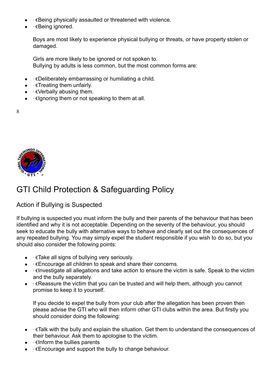- $\cdot$  €Being physically assaulted or threatened with violence.
- ∙ €Being ignored.

Boys are most likely to experience physical bullying or threats, or have property stolen or damaged.

Girls are more likely to be ignored or not spoken to. Bullying by adults is less common, but the most common forms are:

- ∙ €Deliberately embarrassing or humiliating a child.
- ∙ €Treating them unfairly.
- ∙ €Verbally abusing them.
- ∙ €Ignoring them or not speaking to them at all.
- 8



# GTI Child Protection & Safeguarding Policy

#### Action if Bullying is Suspected

If bullying is suspected you must inform the bully and their parents of the behaviour that has been identified and why it is not acceptable. Depending on the severity of the behaviour, you should seek to educate the bully with alternative ways to behave and clearly set out the consequences of any repeated bullying. You may simply expel the student responsible if you wish to do so, but you should also consider the following points:

- ∙ €Take all signs of bullying very seriously.
- ∙ €Encourage all children to speak and share their concerns.
- ∙ €Investigate all allegations and take action to ensure the victim is safe. Speak to the victim and the bully separately.
- ∙ €Reassure the victim that you can be trusted and will help them, although you cannot promise to keep it to yourself.

If you decide to expel the bully from your club after the allegation has been proven then please advise the GTI who will then inform other GTI clubs within the area. But firstly you should consider doing the following:

- ∙ €Talk with the bully and explain the situation. Get them to understand the consequences of their behaviour. Ask them to apologise to the victim.
- ∙ €Inform the bullies parents
- ∙ €Encourage and support the bully to change behaviour.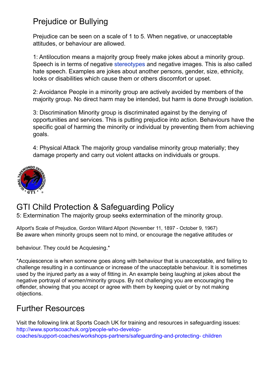# Prejudice or Bullying

Prejudice can be seen on a scale of 1 to 5. When negative, or unacceptable attitudes, or behaviour are allowed.

1: Antilocution means a majority group freely make jokes about a minority group. Speech is in terms of negative stereotypes and negative images. This is also called hate speech. Examples are jokes about another persons, gender, size, ethnicity, looks or disabilities which cause them or others discomfort or upset.

2: Avoidance People in a minority group are actively avoided by members of the majority group. No direct harm may be intended, but harm is done through isolation.

3: Discrimination Minority group is discriminated against by the denying of opportunities and services. This is putting prejudice into action. Behaviours have the specific goal of harming the minority or individual by preventing them from achieving goals.

4: Physical Attack The majority group vandalise minority group materially; they damage property and carry out violent attacks on individuals or groups.



# GTI Child Protection & Safeguarding Policy

5: Extermination The majority group seeks extermination of the minority group.

Allport's Scale of Prejudice, Gordon Willard Allport (November 11, 1897 - October 9, 1967) Be aware when minority groups seem not to mind, or encourage the negative attitudes or

behaviour. They could be Acquiesing.\*

\*Acquiescence is when someone goes along with behaviour that is unacceptable, and failing to challenge resulting in a continuance or increase of the unacceptable behaviour. It is sometimes used by the injured party as a way of fitting in. An example being laughing at jokes about the negative portrayal of women/minority groups. By not challenging you are encouraging the offender, showing that you accept or agree with them by keeping quiet or by not making objections.

## Further Resources

Visit the following link at Sports Coach UK for training and resources in safeguarding issues: http://www.sportscoachuk.org/people-who-developcoaches/support-coaches/workshops-partners/safeguarding-and-protecting- children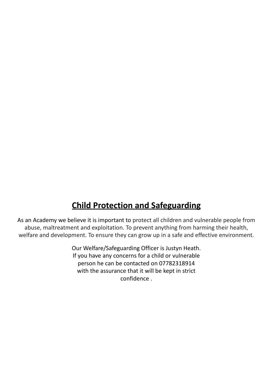# **Child Protection and Safeguarding**

As an Academy we believe it is important to protect all children and vulnerable people from abuse, maltreatment and exploitation. To prevent anything from harming their health, welfare and development. To ensure they can grow up in a safe and effective environment.

> Our Welfare/Safeguarding Officer is Justyn Heath. If you have any concerns for a child or vulnerable person he can be contacted on 07782318914 with the assurance that it will be kept in strict confidence .